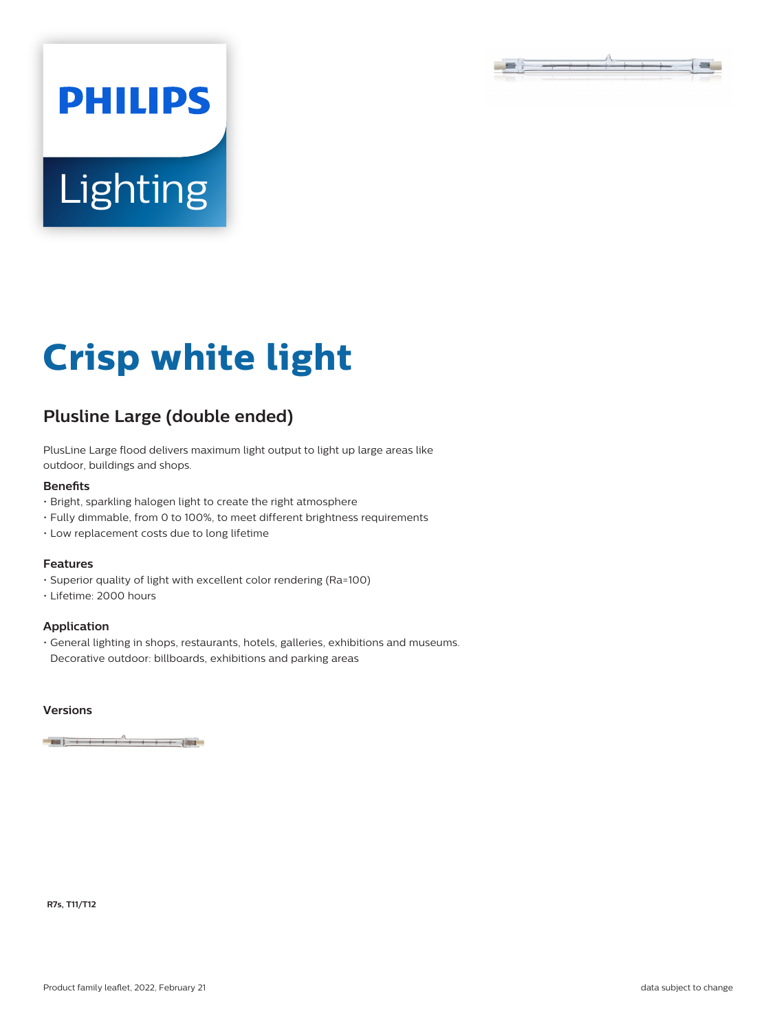

# Lighting

**PHILIPS** 

# **Crisp white light**

# **Plusline Large (double ended)**

PlusLine Large flood delivers maximum light output to light up large areas like outdoor, buildings and shops.

#### **Benefits**

- Bright, sparkling halogen light to create the right atmosphere
- Fully dimmable, from 0 to 100%, to meet different brightness requirements
- Low replacement costs due to long lifetime

## **Features**

- Superior quality of light with excellent color rendering (Ra=100)
- Lifetime: 2000 hours

#### **Application**

• General lighting in shops, restaurants, hotels, galleries, exhibitions and museums. Decorative outdoor: billboards, exhibitions and parking areas

### **Versions**

 $-1 + 1 + 1 + 1 + 1$ 

**R7s, T11/T12**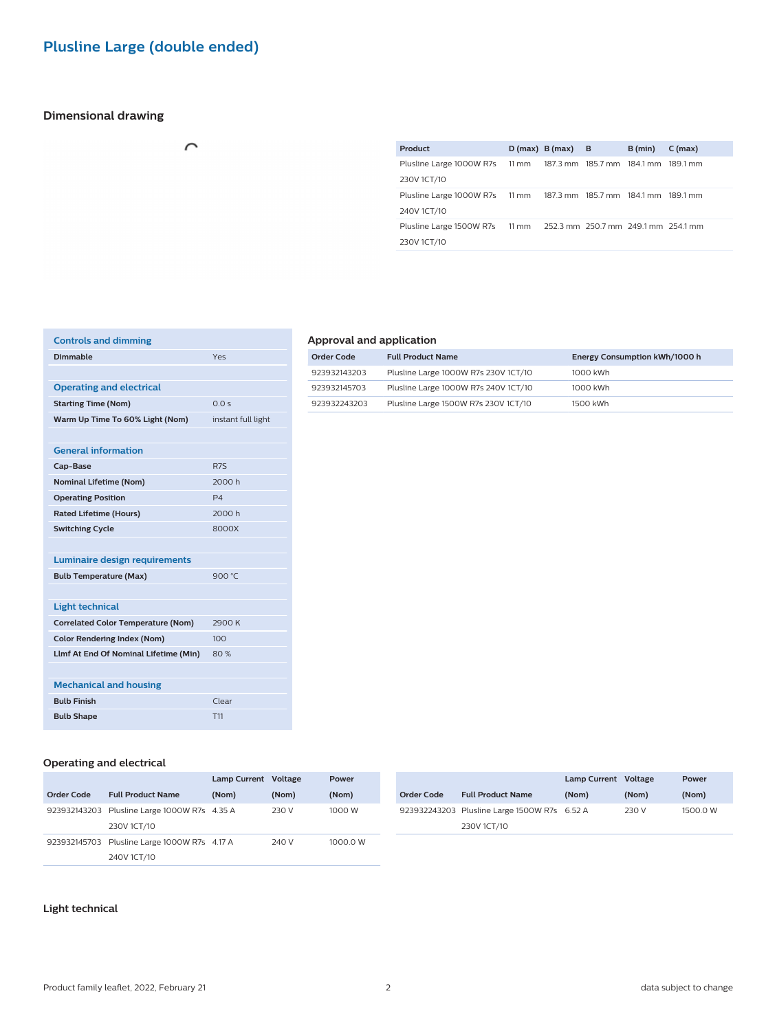# **Plusline Large (double ended)**

 $\cap$ 

# **Dimensional drawing**

|  | B (min)            | $C$ (max)                                                                                                                                                                                                      |
|--|--------------------|----------------------------------------------------------------------------------------------------------------------------------------------------------------------------------------------------------------|
|  |                    |                                                                                                                                                                                                                |
|  |                    |                                                                                                                                                                                                                |
|  |                    |                                                                                                                                                                                                                |
|  |                    |                                                                                                                                                                                                                |
|  |                    |                                                                                                                                                                                                                |
|  |                    |                                                                                                                                                                                                                |
|  | $D(max)$ B (max) B | Plusline Large 1000W R7s 11 mm 187.3 mm 185.7 mm 184.1 mm 189.1 mm<br>Plusline Large 1000W R7s 11 mm 187.3 mm 185.7 mm 184.1 mm 189.1 mm<br>Plusline Large 1500W R7s 11 mm 252.3 mm 250.7 mm 249.1 mm 254.1 mm |

| <b>Controls and dimming</b>               |                    |
|-------------------------------------------|--------------------|
| Dimmable                                  | Yes                |
|                                           |                    |
| <b>Operating and electrical</b>           |                    |
| <b>Starting Time (Nom)</b>                | 0.0 s              |
| Warm Up Time To 60% Light (Nom)           | instant full light |
|                                           |                    |
| <b>General information</b>                |                    |
| Cap-Base                                  | R <sub>7S</sub>    |
| <b>Nominal Lifetime (Nom)</b>             | 2000 h             |
| <b>Operating Position</b>                 | P <sub>4</sub>     |
| <b>Rated Lifetime (Hours)</b>             | 2000 h             |
| <b>Switching Cycle</b>                    | 8000X              |
|                                           |                    |
| <b>Luminaire design requirements</b>      |                    |
| <b>Bulb Temperature (Max)</b>             | 900 °C             |
|                                           |                    |
| <b>Light technical</b>                    |                    |
| <b>Correlated Color Temperature (Nom)</b> | 2900K              |
| <b>Color Rendering Index (Nom)</b>        | 100                |
| Llmf At End Of Nominal Lifetime (Min)     | 80%                |
|                                           |                    |
| <b>Mechanical and housing</b>             |                    |
| <b>Bulb Finish</b>                        | Clear              |
| <b>Bulb Shape</b>                         | T <sub>11</sub>    |
|                                           |                    |

# **Approval and application**

J.

| <b>Order Code</b> | <b>Full Product Name</b>             | Energy Consumption kWh/1000 h |
|-------------------|--------------------------------------|-------------------------------|
| 923932143203      | Plusline Large 1000W R7s 230V 1CT/10 | 1000 kWh                      |
| 923932145703      | Plusline Large 1000W R7s 240V 1CT/10 | 1000 kWh                      |
| 923932243203      | Plusline Large 1500W R7s 230V 1CT/10 | 1500 kWh                      |

# **Operating and electrical**

|                   |                                              | <b>Lamp Current</b> | Voltage | Power    |            |                                              | Lamp Current Voltage |       | Power    |
|-------------------|----------------------------------------------|---------------------|---------|----------|------------|----------------------------------------------|----------------------|-------|----------|
| <b>Order Code</b> | <b>Full Product Name</b>                     | (Nom)               | (Nom)   | (Nom)    | Order Code | <b>Full Product Name</b>                     | (Nom)                | (Nom) | (Nom)    |
|                   | 923932143203 Plusline Large 1000W R7s 4.35 A |                     | 230 V   | 1000 W   |            | 923932243203 Plusline Large 1500W R7s 6.52 A |                      | 230 V | 1500.0 W |
|                   | 230V 1CT/10                                  |                     |         |          |            | 230V 1CT/10                                  |                      |       |          |
|                   | 923932145703 Plusline Large 1000W R7s 4.17 A |                     | 240 V   | 1000.0 W |            |                                              |                      |       |          |
|                   | 240V 1CT/10                                  |                     |         |          |            |                                              |                      |       |          |

### **Light technical**